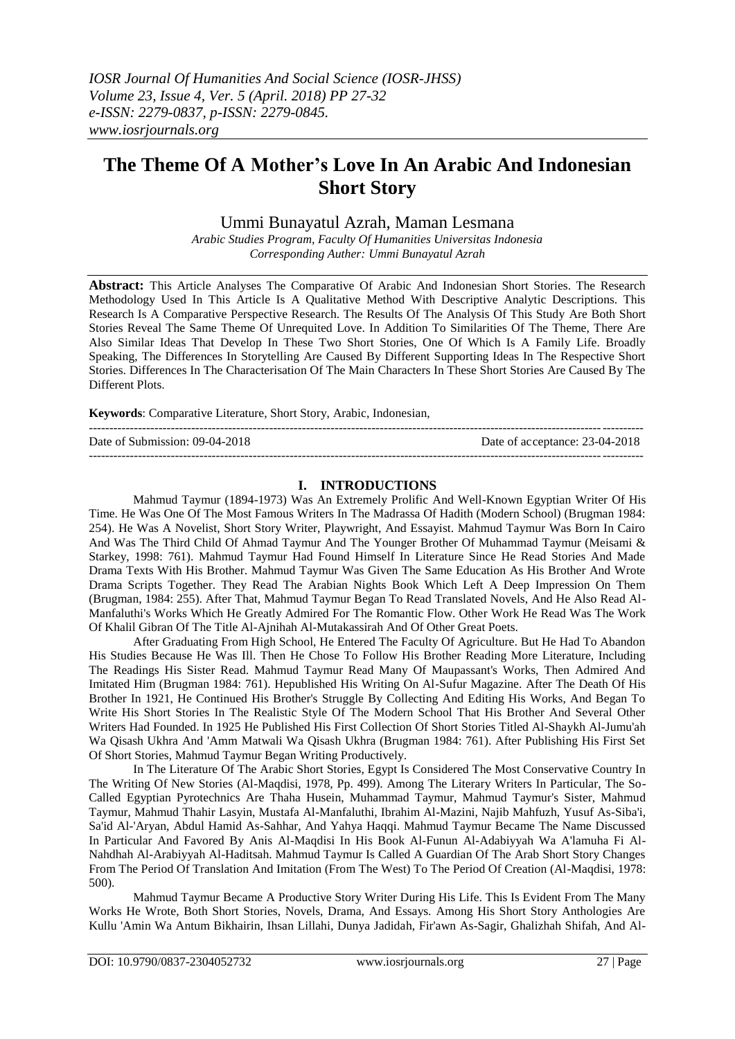# **The Theme Of A Mother's Love In An Arabic And Indonesian Short Story**

Ummi Bunayatul Azrah, Maman Lesmana

*Arabic Studies Program, Faculty Of Humanities Universitas Indonesia Corresponding Auther: Ummi Bunayatul Azrah*

**Abstract:** This Article Analyses The Comparative Of Arabic And Indonesian Short Stories. The Research Methodology Used In This Article Is A Qualitative Method With Descriptive Analytic Descriptions. This Research Is A Comparative Perspective Research. The Results Of The Analysis Of This Study Are Both Short Stories Reveal The Same Theme Of Unrequited Love. In Addition To Similarities Of The Theme, There Are Also Similar Ideas That Develop In These Two Short Stories, One Of Which Is A Family Life. Broadly Speaking, The Differences In Storytelling Are Caused By Different Supporting Ideas In The Respective Short Stories. Differences In The Characterisation Of The Main Characters In These Short Stories Are Caused By The Different Plots.

**Keywords**: Comparative Literature, Short Story, Arabic, Indonesian,

--------------------------------------------------------------------------------------------------------------------------------------- Date of Submission: 09-04-2018 Date of acceptance: 23-04-2018 ---------------------------------------------------------------------------------------------------------------------------------------

## **I. INTRODUCTIONS**

Mahmud Taymur (1894-1973) Was An Extremely Prolific And Well-Known Egyptian Writer Of His Time. He Was One Of The Most Famous Writers In The Madrassa Of Hadith (Modern School) (Brugman 1984: 254). He Was A Novelist, Short Story Writer, Playwright, And Essayist. Mahmud Taymur Was Born In Cairo And Was The Third Child Of Ahmad Taymur And The Younger Brother Of Muhammad Taymur (Meisami & Starkey, 1998: 761). Mahmud Taymur Had Found Himself In Literature Since He Read Stories And Made Drama Texts With His Brother. Mahmud Taymur Was Given The Same Education As His Brother And Wrote Drama Scripts Together. They Read The Arabian Nights Book Which Left A Deep Impression On Them (Brugman, 1984: 255). After That, Mahmud Taymur Began To Read Translated Novels, And He Also Read Al-Manfaluthi's Works Which He Greatly Admired For The Romantic Flow. Other Work He Read Was The Work Of Khalil Gibran Of The Title Al-Ajnihah Al-Mutakassirah And Of Other Great Poets.

After Graduating From High School, He Entered The Faculty Of Agriculture. But He Had To Abandon His Studies Because He Was Ill. Then He Chose To Follow His Brother Reading More Literature, Including The Readings His Sister Read. Mahmud Taymur Read Many Of Maupassant's Works, Then Admired And Imitated Him (Brugman 1984: 761). Hepublished His Writing On Al-Sufur Magazine. After The Death Of His Brother In 1921, He Continued His Brother's Struggle By Collecting And Editing His Works, And Began To Write His Short Stories In The Realistic Style Of The Modern School That His Brother And Several Other Writers Had Founded. In 1925 He Published His First Collection Of Short Stories Titled Al-Shaykh Al-Jumu'ah Wa Qisash Ukhra And 'Amm Matwali Wa Qisash Ukhra (Brugman 1984: 761). After Publishing His First Set Of Short Stories, Mahmud Taymur Began Writing Productively.

In The Literature Of The Arabic Short Stories, Egypt Is Considered The Most Conservative Country In The Writing Of New Stories (Al-Maqdisi, 1978, Pp. 499). Among The Literary Writers In Particular, The So-Called Egyptian Pyrotechnics Are Thaha Husein, Muhammad Taymur, Mahmud Taymur's Sister, Mahmud Taymur, Mahmud Thahir Lasyin, Mustafa Al-Manfaluthi, Ibrahim Al-Mazini, Najib Mahfuzh, Yusuf As-Siba'i, Sa'id Al-'Aryan, Abdul Hamid As-Sahhar, And Yahya Haqqi. Mahmud Taymur Became The Name Discussed In Particular And Favored By Anis Al-Maqdisi In His Book Al-Funun Al-Adabiyyah Wa A'lamuha Fi Al-Nahdhah Al-Arabiyyah Al-Haditsah. Mahmud Taymur Is Called A Guardian Of The Arab Short Story Changes From The Period Of Translation And Imitation (From The West) To The Period Of Creation (Al-Maqdisi, 1978: 500).

Mahmud Taymur Became A Productive Story Writer During His Life. This Is Evident From The Many Works He Wrote, Both Short Stories, Novels, Drama, And Essays. Among His Short Story Anthologies Are Kullu 'Amin Wa Antum Bikhairin, Ihsan Lillahi, Dunya Jadidah, Fir'awn As-Sagir, Ghalizhah Shifah, And Al-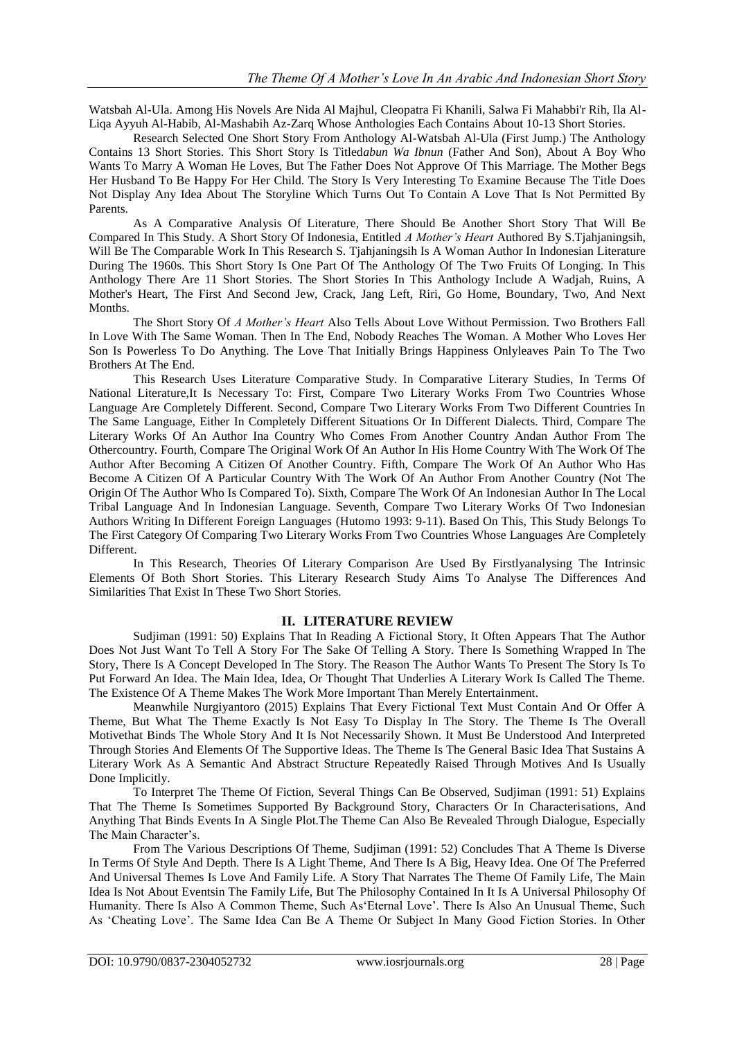Watsbah Al-Ula. Among His Novels Are Nida Al Majhul, Cleopatra Fi Khanili, Salwa Fi Mahabbi'r Rih, Ila Al-Liqa Ayyuh Al-Habib, Al-Mashabih Az-Zarq Whose Anthologies Each Contains About 10-13 Short Stories.

Research Selected One Short Story From Anthology Al-Watsbah Al-Ula (First Jump.) The Anthology Contains 13 Short Stories. This Short Story Is Titled*abun Wa Ibnun* (Father And Son), About A Boy Who Wants To Marry A Woman He Loves, But The Father Does Not Approve Of This Marriage. The Mother Begs Her Husband To Be Happy For Her Child. The Story Is Very Interesting To Examine Because The Title Does Not Display Any Idea About The Storyline Which Turns Out To Contain A Love That Is Not Permitted By Parents.

As A Comparative Analysis Of Literature, There Should Be Another Short Story That Will Be Compared In This Study. A Short Story Of Indonesia, Entitled *A Mother's Heart* Authored By S.Tjahjaningsih, Will Be The Comparable Work In This Research S. Tjahjaningsih Is A Woman Author In Indonesian Literature During The 1960s. This Short Story Is One Part Of The Anthology Of The Two Fruits Of Longing. In This Anthology There Are 11 Short Stories. The Short Stories In This Anthology Include A Wadjah, Ruins, A Mother's Heart, The First And Second Jew, Crack, Jang Left, Riri, Go Home, Boundary, Two, And Next Months.

The Short Story Of *A Mother's Heart* Also Tells About Love Without Permission. Two Brothers Fall In Love With The Same Woman. Then In The End, Nobody Reaches The Woman. A Mother Who Loves Her Son Is Powerless To Do Anything. The Love That Initially Brings Happiness Onlyleaves Pain To The Two Brothers At The End.

This Research Uses Literature Comparative Study. In Comparative Literary Studies, In Terms Of National Literature,It Is Necessary To: First, Compare Two Literary Works From Two Countries Whose Language Are Completely Different. Second, Compare Two Literary Works From Two Different Countries In The Same Language, Either In Completely Different Situations Or In Different Dialects. Third, Compare The Literary Works Of An Author Ina Country Who Comes From Another Country Andan Author From The Othercountry. Fourth, Compare The Original Work Of An Author In His Home Country With The Work Of The Author After Becoming A Citizen Of Another Country. Fifth, Compare The Work Of An Author Who Has Become A Citizen Of A Particular Country With The Work Of An Author From Another Country (Not The Origin Of The Author Who Is Compared To). Sixth, Compare The Work Of An Indonesian Author In The Local Tribal Language And In Indonesian Language. Seventh, Compare Two Literary Works Of Two Indonesian Authors Writing In Different Foreign Languages (Hutomo 1993: 9-11). Based On This, This Study Belongs To The First Category Of Comparing Two Literary Works From Two Countries Whose Languages Are Completely Different.

In This Research, Theories Of Literary Comparison Are Used By Firstlyanalysing The Intrinsic Elements Of Both Short Stories. This Literary Research Study Aims To Analyse The Differences And Similarities That Exist In These Two Short Stories.

### **II. LITERATURE REVIEW**

Sudjiman (1991: 50) Explains That In Reading A Fictional Story, It Often Appears That The Author Does Not Just Want To Tell A Story For The Sake Of Telling A Story. There Is Something Wrapped In The Story, There Is A Concept Developed In The Story. The Reason The Author Wants To Present The Story Is To Put Forward An Idea. The Main Idea, Idea, Or Thought That Underlies A Literary Work Is Called The Theme. The Existence Of A Theme Makes The Work More Important Than Merely Entertainment.

Meanwhile Nurgiyantoro (2015) Explains That Every Fictional Text Must Contain And Or Offer A Theme, But What The Theme Exactly Is Not Easy To Display In The Story. The Theme Is The Overall Motivethat Binds The Whole Story And It Is Not Necessarily Shown. It Must Be Understood And Interpreted Through Stories And Elements Of The Supportive Ideas. The Theme Is The General Basic Idea That Sustains A Literary Work As A Semantic And Abstract Structure Repeatedly Raised Through Motives And Is Usually Done Implicitly.

To Interpret The Theme Of Fiction, Several Things Can Be Observed, Sudjiman (1991: 51) Explains That The Theme Is Sometimes Supported By Background Story, Characters Or In Characterisations, And Anything That Binds Events In A Single Plot.The Theme Can Also Be Revealed Through Dialogue, Especially The Main Character's.

From The Various Descriptions Of Theme, Sudjiman (1991: 52) Concludes That A Theme Is Diverse In Terms Of Style And Depth. There Is A Light Theme, And There Is A Big, Heavy Idea. One Of The Preferred And Universal Themes Is Love And Family Life. A Story That Narrates The Theme Of Family Life, The Main Idea Is Not About Eventsin The Family Life, But The Philosophy Contained In It Is A Universal Philosophy Of Humanity. There Is Also A Common Theme, Such As"Eternal Love". There Is Also An Unusual Theme, Such As 'Cheating Love'. The Same Idea Can Be A Theme Or Subject In Many Good Fiction Stories. In Other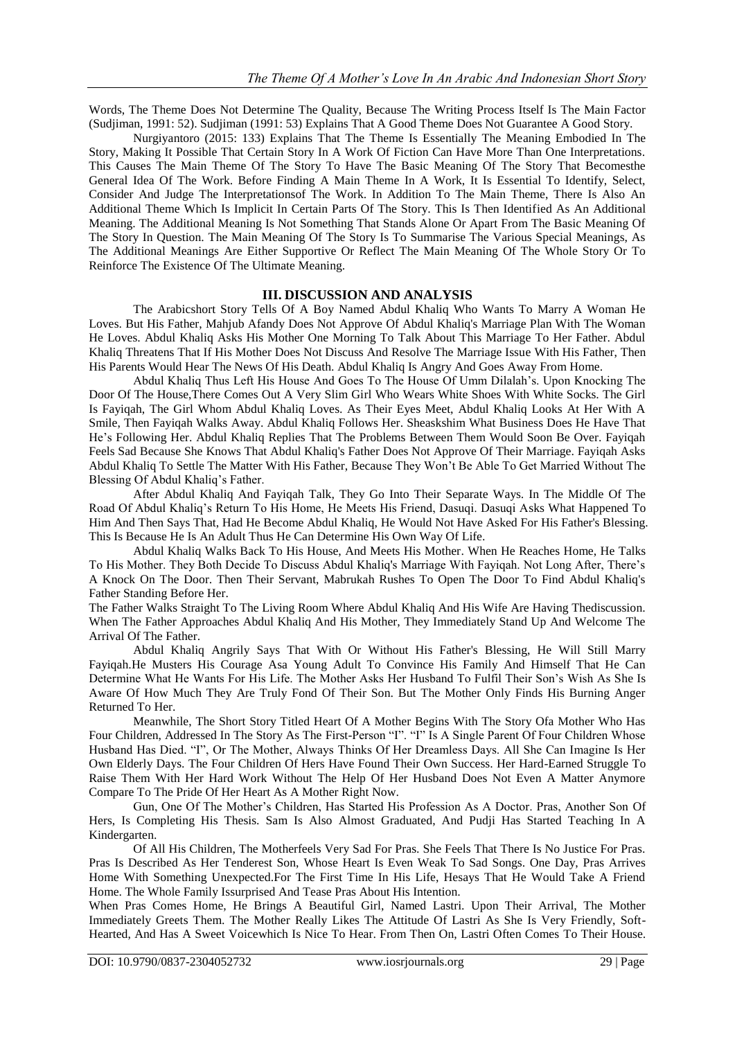Words, The Theme Does Not Determine The Quality, Because The Writing Process Itself Is The Main Factor (Sudjiman, 1991: 52). Sudjiman (1991: 53) Explains That A Good Theme Does Not Guarantee A Good Story.

Nurgiyantoro (2015: 133) Explains That The Theme Is Essentially The Meaning Embodied In The Story, Making It Possible That Certain Story In A Work Of Fiction Can Have More Than One Interpretations. This Causes The Main Theme Of The Story To Have The Basic Meaning Of The Story That Becomesthe General Idea Of The Work. Before Finding A Main Theme In A Work, It Is Essential To Identify, Select, Consider And Judge The Interpretationsof The Work. In Addition To The Main Theme, There Is Also An Additional Theme Which Is Implicit In Certain Parts Of The Story. This Is Then Identified As An Additional Meaning. The Additional Meaning Is Not Something That Stands Alone Or Apart From The Basic Meaning Of The Story In Question. The Main Meaning Of The Story Is To Summarise The Various Special Meanings, As The Additional Meanings Are Either Supportive Or Reflect The Main Meaning Of The Whole Story Or To Reinforce The Existence Of The Ultimate Meaning.

### **III. DISCUSSION AND ANALYSIS**

The Arabicshort Story Tells Of A Boy Named Abdul Khaliq Who Wants To Marry A Woman He Loves. But His Father, Mahjub Afandy Does Not Approve Of Abdul Khaliq's Marriage Plan With The Woman He Loves. Abdul Khaliq Asks His Mother One Morning To Talk About This Marriage To Her Father. Abdul Khaliq Threatens That If His Mother Does Not Discuss And Resolve The Marriage Issue With His Father, Then His Parents Would Hear The News Of His Death. Abdul Khaliq Is Angry And Goes Away From Home.

Abdul Khaliq Thus Left His House And Goes To The House Of Umm Dilalah"s. Upon Knocking The Door Of The House,There Comes Out A Very Slim Girl Who Wears White Shoes With White Socks. The Girl Is Fayiqah, The Girl Whom Abdul Khaliq Loves. As Their Eyes Meet, Abdul Khaliq Looks At Her With A Smile, Then Fayiqah Walks Away. Abdul Khaliq Follows Her. Sheaskshim What Business Does He Have That He's Following Her. Abdul Khaliq Replies That The Problems Between Them Would Soon Be Over. Fayiqah Feels Sad Because She Knows That Abdul Khaliq's Father Does Not Approve Of Their Marriage. Fayiqah Asks Abdul Khaliq To Settle The Matter With His Father, Because They Won"t Be Able To Get Married Without The Blessing Of Abdul Khaliq"s Father.

After Abdul Khaliq And Fayiqah Talk, They Go Into Their Separate Ways. In The Middle Of The Road Of Abdul Khaliq"s Return To His Home, He Meets His Friend, Dasuqi. Dasuqi Asks What Happened To Him And Then Says That, Had He Become Abdul Khaliq, He Would Not Have Asked For His Father's Blessing. This Is Because He Is An Adult Thus He Can Determine His Own Way Of Life.

Abdul Khaliq Walks Back To His House, And Meets His Mother. When He Reaches Home, He Talks To His Mother. They Both Decide To Discuss Abdul Khaliq's Marriage With Fayiqah. Not Long After, There"s A Knock On The Door. Then Their Servant, Mabrukah Rushes To Open The Door To Find Abdul Khaliq's Father Standing Before Her.

The Father Walks Straight To The Living Room Where Abdul Khaliq And His Wife Are Having Thediscussion. When The Father Approaches Abdul Khaliq And His Mother, They Immediately Stand Up And Welcome The Arrival Of The Father.

Abdul Khaliq Angrily Says That With Or Without His Father's Blessing, He Will Still Marry Fayiqah.He Musters His Courage Asa Young Adult To Convince His Family And Himself That He Can Determine What He Wants For His Life. The Mother Asks Her Husband To Fulfil Their Son"s Wish As She Is Aware Of How Much They Are Truly Fond Of Their Son. But The Mother Only Finds His Burning Anger Returned To Her.

Meanwhile, The Short Story Titled Heart Of A Mother Begins With The Story Ofa Mother Who Has Four Children, Addressed In The Story As The First-Person "I". "I" Is A Single Parent Of Four Children Whose Husband Has Died. "I", Or The Mother, Always Thinks Of Her Dreamless Days. All She Can Imagine Is Her Own Elderly Days. The Four Children Of Hers Have Found Their Own Success. Her Hard-Earned Struggle To Raise Them With Her Hard Work Without The Help Of Her Husband Does Not Even A Matter Anymore Compare To The Pride Of Her Heart As A Mother Right Now.

Gun, One Of The Mother"s Children, Has Started His Profession As A Doctor. Pras, Another Son Of Hers, Is Completing His Thesis. Sam Is Also Almost Graduated, And Pudji Has Started Teaching In A Kindergarten.

Of All His Children, The Motherfeels Very Sad For Pras. She Feels That There Is No Justice For Pras. Pras Is Described As Her Tenderest Son, Whose Heart Is Even Weak To Sad Songs. One Day, Pras Arrives Home With Something Unexpected.For The First Time In His Life, Hesays That He Would Take A Friend Home. The Whole Family Issurprised And Tease Pras About His Intention.

When Pras Comes Home, He Brings A Beautiful Girl, Named Lastri. Upon Their Arrival, The Mother Immediately Greets Them. The Mother Really Likes The Attitude Of Lastri As She Is Very Friendly, Soft-Hearted, And Has A Sweet Voicewhich Is Nice To Hear. From Then On, Lastri Often Comes To Their House.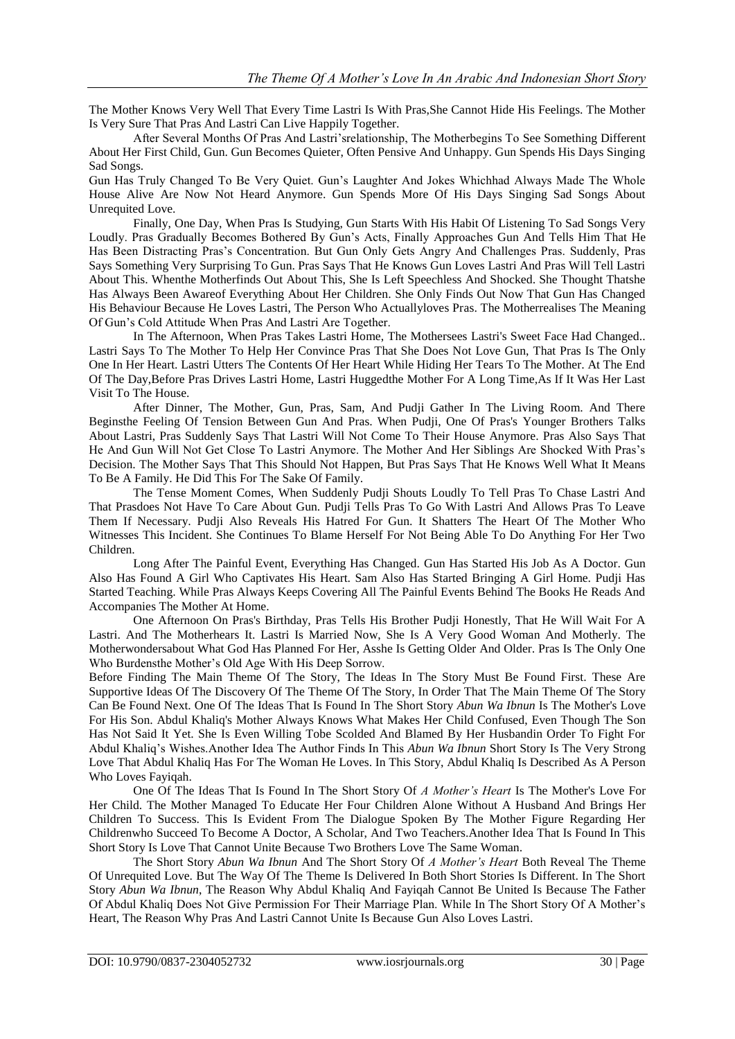The Mother Knows Very Well That Every Time Lastri Is With Pras,She Cannot Hide His Feelings. The Mother Is Very Sure That Pras And Lastri Can Live Happily Together.

After Several Months Of Pras And Lastri"srelationship, The Motherbegins To See Something Different About Her First Child, Gun. Gun Becomes Quieter, Often Pensive And Unhappy. Gun Spends His Days Singing Sad Songs.

Gun Has Truly Changed To Be Very Quiet. Gun"s Laughter And Jokes Whichhad Always Made The Whole House Alive Are Now Not Heard Anymore. Gun Spends More Of His Days Singing Sad Songs About Unrequited Love.

Finally, One Day, When Pras Is Studying, Gun Starts With His Habit Of Listening To Sad Songs Very Loudly. Pras Gradually Becomes Bothered By Gun"s Acts, Finally Approaches Gun And Tells Him That He Has Been Distracting Pras"s Concentration. But Gun Only Gets Angry And Challenges Pras. Suddenly, Pras Says Something Very Surprising To Gun. Pras Says That He Knows Gun Loves Lastri And Pras Will Tell Lastri About This. Whenthe Motherfinds Out About This, She Is Left Speechless And Shocked. She Thought Thatshe Has Always Been Awareof Everything About Her Children. She Only Finds Out Now That Gun Has Changed His Behaviour Because He Loves Lastri, The Person Who Actuallyloves Pras. The Motherrealises The Meaning Of Gun"s Cold Attitude When Pras And Lastri Are Together.

In The Afternoon, When Pras Takes Lastri Home, The Mothersees Lastri's Sweet Face Had Changed.. Lastri Says To The Mother To Help Her Convince Pras That She Does Not Love Gun, That Pras Is The Only One In Her Heart. Lastri Utters The Contents Of Her Heart While Hiding Her Tears To The Mother. At The End Of The Day,Before Pras Drives Lastri Home, Lastri Huggedthe Mother For A Long Time,As If It Was Her Last Visit To The House.

After Dinner, The Mother, Gun, Pras, Sam, And Pudji Gather In The Living Room. And There Beginsthe Feeling Of Tension Between Gun And Pras. When Pudji, One Of Pras's Younger Brothers Talks About Lastri, Pras Suddenly Says That Lastri Will Not Come To Their House Anymore. Pras Also Says That He And Gun Will Not Get Close To Lastri Anymore. The Mother And Her Siblings Are Shocked With Pras"s Decision. The Mother Says That This Should Not Happen, But Pras Says That He Knows Well What It Means To Be A Family. He Did This For The Sake Of Family.

The Tense Moment Comes, When Suddenly Pudji Shouts Loudly To Tell Pras To Chase Lastri And That Prasdoes Not Have To Care About Gun. Pudji Tells Pras To Go With Lastri And Allows Pras To Leave Them If Necessary. Pudji Also Reveals His Hatred For Gun. It Shatters The Heart Of The Mother Who Witnesses This Incident. She Continues To Blame Herself For Not Being Able To Do Anything For Her Two Children.

Long After The Painful Event, Everything Has Changed. Gun Has Started His Job As A Doctor. Gun Also Has Found A Girl Who Captivates His Heart. Sam Also Has Started Bringing A Girl Home. Pudji Has Started Teaching. While Pras Always Keeps Covering All The Painful Events Behind The Books He Reads And Accompanies The Mother At Home.

One Afternoon On Pras's Birthday, Pras Tells His Brother Pudji Honestly, That He Will Wait For A Lastri. And The Motherhears It. Lastri Is Married Now, She Is A Very Good Woman And Motherly. The Motherwondersabout What God Has Planned For Her, Asshe Is Getting Older And Older. Pras Is The Only One Who Burdensthe Mother"s Old Age With His Deep Sorrow.

Before Finding The Main Theme Of The Story, The Ideas In The Story Must Be Found First. These Are Supportive Ideas Of The Discovery Of The Theme Of The Story, In Order That The Main Theme Of The Story Can Be Found Next. One Of The Ideas That Is Found In The Short Story *Abun Wa Ibnun* Is The Mother's Love For His Son. Abdul Khaliq's Mother Always Knows What Makes Her Child Confused, Even Though The Son Has Not Said It Yet. She Is Even Willing Tobe Scolded And Blamed By Her Husbandin Order To Fight For Abdul Khaliq"s Wishes.Another Idea The Author Finds In This *Abun Wa Ibnun* Short Story Is The Very Strong Love That Abdul Khaliq Has For The Woman He Loves. In This Story, Abdul Khaliq Is Described As A Person Who Loves Fayiqah.

One Of The Ideas That Is Found In The Short Story Of *A Mother's Heart* Is The Mother's Love For Her Child. The Mother Managed To Educate Her Four Children Alone Without A Husband And Brings Her Children To Success. This Is Evident From The Dialogue Spoken By The Mother Figure Regarding Her Childrenwho Succeed To Become A Doctor, A Scholar, And Two Teachers.Another Idea That Is Found In This Short Story Is Love That Cannot Unite Because Two Brothers Love The Same Woman.

The Short Story *Abun Wa Ibnun* And The Short Story Of *A Mother's Heart* Both Reveal The Theme Of Unrequited Love. But The Way Of The Theme Is Delivered In Both Short Stories Is Different. In The Short Story *Abun Wa Ibnun*, The Reason Why Abdul Khaliq And Fayiqah Cannot Be United Is Because The Father Of Abdul Khaliq Does Not Give Permission For Their Marriage Plan. While In The Short Story Of A Mother"s Heart, The Reason Why Pras And Lastri Cannot Unite Is Because Gun Also Loves Lastri.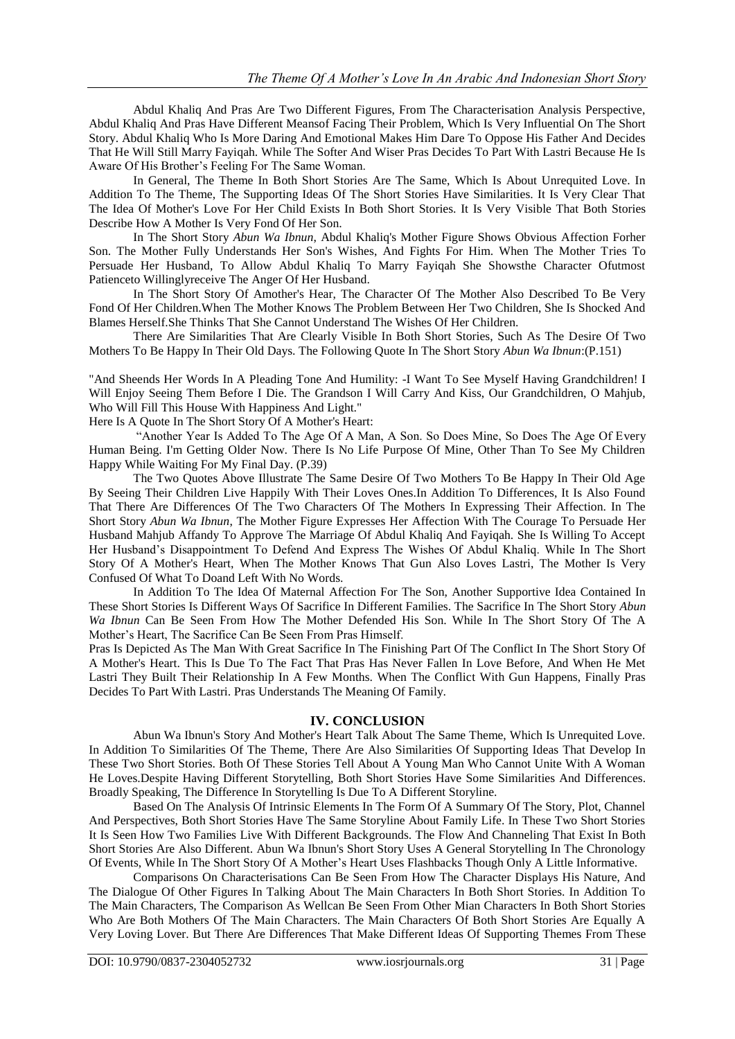Abdul Khaliq And Pras Are Two Different Figures, From The Characterisation Analysis Perspective, Abdul Khaliq And Pras Have Different Meansof Facing Their Problem, Which Is Very Influential On The Short Story. Abdul Khaliq Who Is More Daring And Emotional Makes Him Dare To Oppose His Father And Decides That He Will Still Marry Fayiqah. While The Softer And Wiser Pras Decides To Part With Lastri Because He Is Aware Of His Brother"s Feeling For The Same Woman.

In General, The Theme In Both Short Stories Are The Same, Which Is About Unrequited Love. In Addition To The Theme, The Supporting Ideas Of The Short Stories Have Similarities. It Is Very Clear That The Idea Of Mother's Love For Her Child Exists In Both Short Stories. It Is Very Visible That Both Stories Describe How A Mother Is Very Fond Of Her Son.

In The Short Story *Abun Wa Ibnun*, Abdul Khaliq's Mother Figure Shows Obvious Affection Forher Son. The Mother Fully Understands Her Son's Wishes, And Fights For Him. When The Mother Tries To Persuade Her Husband, To Allow Abdul Khaliq To Marry Fayiqah She Showsthe Character Ofutmost Patienceto Willinglyreceive The Anger Of Her Husband.

In The Short Story Of Amother's Hear, The Character Of The Mother Also Described To Be Very Fond Of Her Children.When The Mother Knows The Problem Between Her Two Children, She Is Shocked And Blames Herself.She Thinks That She Cannot Understand The Wishes Of Her Children.

There Are Similarities That Are Clearly Visible In Both Short Stories, Such As The Desire Of Two Mothers To Be Happy In Their Old Days. The Following Quote In The Short Story *Abun Wa Ibnun*:(P.151)

"And Sheends Her Words In A Pleading Tone And Humility: -I Want To See Myself Having Grandchildren! I Will Enjoy Seeing Them Before I Die. The Grandson I Will Carry And Kiss, Our Grandchildren, O Mahjub, Who Will Fill This House With Happiness And Light."

Here Is A Quote In The Short Story Of A Mother's Heart:

"Another Year Is Added To The Age Of A Man, A Son. So Does Mine, So Does The Age Of Every Human Being. I'm Getting Older Now. There Is No Life Purpose Of Mine, Other Than To See My Children Happy While Waiting For My Final Day. (P.39)

The Two Quotes Above Illustrate The Same Desire Of Two Mothers To Be Happy In Their Old Age By Seeing Their Children Live Happily With Their Loves Ones.In Addition To Differences, It Is Also Found That There Are Differences Of The Two Characters Of The Mothers In Expressing Their Affection. In The Short Story *Abun Wa Ibnun*, The Mother Figure Expresses Her Affection With The Courage To Persuade Her Husband Mahjub Affandy To Approve The Marriage Of Abdul Khaliq And Fayiqah. She Is Willing To Accept Her Husband"s Disappointment To Defend And Express The Wishes Of Abdul Khaliq. While In The Short Story Of A Mother's Heart, When The Mother Knows That Gun Also Loves Lastri, The Mother Is Very Confused Of What To Doand Left With No Words.

In Addition To The Idea Of Maternal Affection For The Son, Another Supportive Idea Contained In These Short Stories Is Different Ways Of Sacrifice In Different Families. The Sacrifice In The Short Story *Abun Wa Ibnun* Can Be Seen From How The Mother Defended His Son. While In The Short Story Of The A Mother"s Heart, The Sacrifice Can Be Seen From Pras Himself.

Pras Is Depicted As The Man With Great Sacrifice In The Finishing Part Of The Conflict In The Short Story Of A Mother's Heart. This Is Due To The Fact That Pras Has Never Fallen In Love Before, And When He Met Lastri They Built Their Relationship In A Few Months. When The Conflict With Gun Happens, Finally Pras Decides To Part With Lastri. Pras Understands The Meaning Of Family.

#### **IV. CONCLUSION**

Abun Wa Ibnun's Story And Mother's Heart Talk About The Same Theme, Which Is Unrequited Love. In Addition To Similarities Of The Theme, There Are Also Similarities Of Supporting Ideas That Develop In These Two Short Stories. Both Of These Stories Tell About A Young Man Who Cannot Unite With A Woman He Loves.Despite Having Different Storytelling, Both Short Stories Have Some Similarities And Differences. Broadly Speaking, The Difference In Storytelling Is Due To A Different Storyline.

Based On The Analysis Of Intrinsic Elements In The Form Of A Summary Of The Story, Plot, Channel And Perspectives, Both Short Stories Have The Same Storyline About Family Life. In These Two Short Stories It Is Seen How Two Families Live With Different Backgrounds. The Flow And Channeling That Exist In Both Short Stories Are Also Different. Abun Wa Ibnun's Short Story Uses A General Storytelling In The Chronology Of Events, While In The Short Story Of A Mother"s Heart Uses Flashbacks Though Only A Little Informative.

Comparisons On Characterisations Can Be Seen From How The Character Displays His Nature, And The Dialogue Of Other Figures In Talking About The Main Characters In Both Short Stories. In Addition To The Main Characters, The Comparison As Wellcan Be Seen From Other Mian Characters In Both Short Stories Who Are Both Mothers Of The Main Characters. The Main Characters Of Both Short Stories Are Equally A Very Loving Lover. But There Are Differences That Make Different Ideas Of Supporting Themes From These